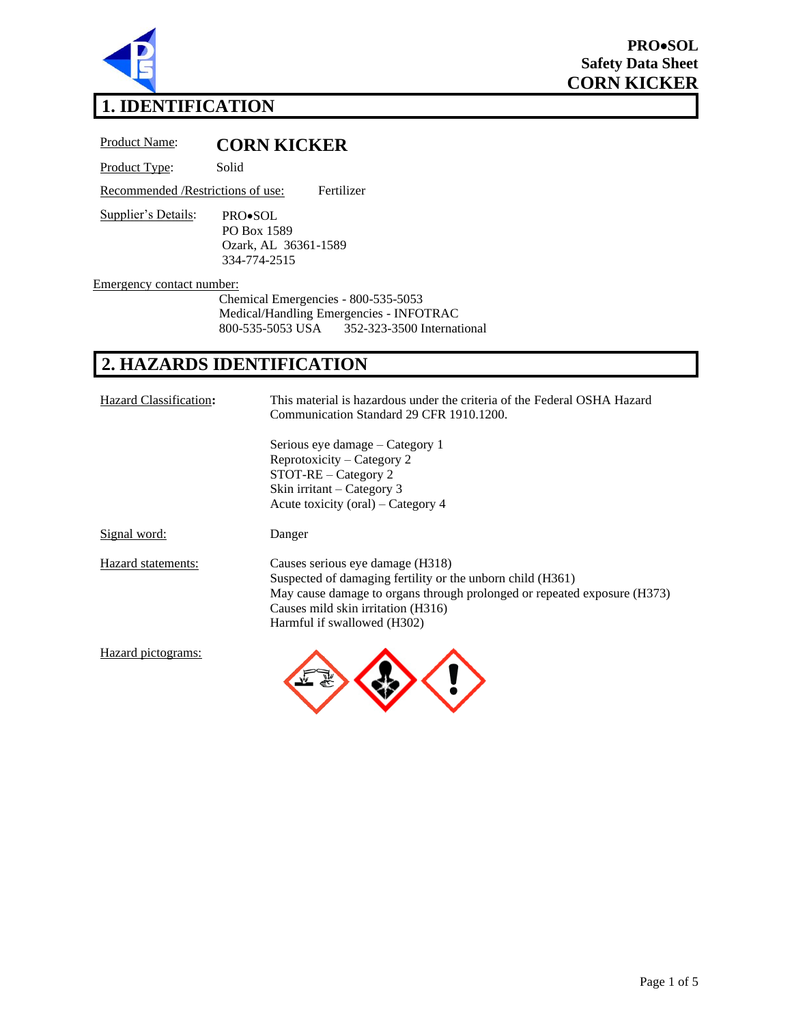

# **1. IDENTIFICATION**

Product Name: **CORN KICKER**

Product Type: Solid

Recommended /Restrictions of use: Fertilizer

Supplier's Details: PRO•SOL PO Box 1589 Ozark, AL 36361-1589 334-774-2515

Emergency contact number:

Chemical Emergencies - 800-535-5053 Medical/Handling Emergencies - INFOTRAC<br>800-535-5053 USA 352-323-3500 Internat 800-535-5053 USA 352-323-3500 International

## **2. HAZARDS IDENTIFICATION**

| Hazard Classification: | This material is hazardous under the criteria of the Federal OSHA Hazard<br>Communication Standard 29 CFR 1910.1200.                                                                                                                            |  |
|------------------------|-------------------------------------------------------------------------------------------------------------------------------------------------------------------------------------------------------------------------------------------------|--|
|                        | Serious eye damage – Category 1<br>Reprotoxicity – Category 2<br>$STOT-RE - Category$ 2<br>Skin irritant – Category 3<br>Acute toxicity (oral) – Category 4                                                                                     |  |
| <u>Signal word:</u>    | Danger                                                                                                                                                                                                                                          |  |
| Hazard statements:     | Causes serious eye damage (H318)<br>Suspected of damaging fertility or the unborn child (H361)<br>May cause damage to organs through prolonged or repeated exposure (H373)<br>Causes mild skin irritation (H316)<br>Harmful if swallowed (H302) |  |
| Hazard pictograms:     |                                                                                                                                                                                                                                                 |  |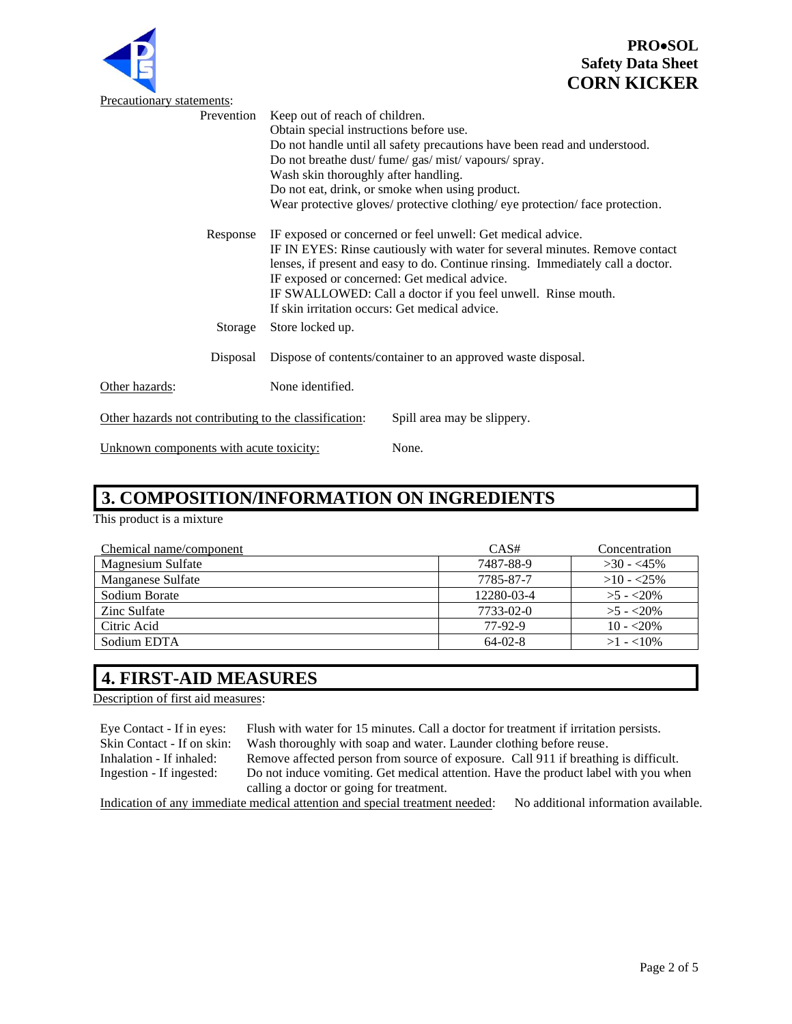

| Œ                                                     | $_{\rm{outoy}}$ Dum $_{\rm{out}}$<br><b>CORN KICKI</b>                                                                                                                                                                                                                                                                                                                                          |
|-------------------------------------------------------|-------------------------------------------------------------------------------------------------------------------------------------------------------------------------------------------------------------------------------------------------------------------------------------------------------------------------------------------------------------------------------------------------|
| <b>Precautionary statements:</b>                      |                                                                                                                                                                                                                                                                                                                                                                                                 |
| Prevention                                            | Keep out of reach of children.<br>Obtain special instructions before use.<br>Do not handle until all safety precautions have been read and understood.<br>Do not breathe dust/ fume/ gas/ mist/ vapours/ spray.<br>Wash skin thoroughly after handling.<br>Do not eat, drink, or smoke when using product.<br>Wear protective gloves/ protective clothing/ eye protection/ face protection.     |
| Response                                              | IF exposed or concerned or feel unwell: Get medical advice.<br>IF IN EYES: Rinse cautiously with water for several minutes. Remove contact<br>lenses, if present and easy to do. Continue rinsing. Immediately call a doctor.<br>IF exposed or concerned: Get medical advice.<br>IF SWALLOWED: Call a doctor if you feel unwell. Rinse mouth.<br>If skin irritation occurs: Get medical advice. |
| Storage                                               | Store locked up.                                                                                                                                                                                                                                                                                                                                                                                |
| Disposal                                              | Dispose of contents/container to an approved waste disposal.                                                                                                                                                                                                                                                                                                                                    |
| Other hazards:                                        | None identified.                                                                                                                                                                                                                                                                                                                                                                                |
| Other hazards not contributing to the classification: | Spill area may be slippery.                                                                                                                                                                                                                                                                                                                                                                     |
| Unknown components with acute toxicity:               | None.                                                                                                                                                                                                                                                                                                                                                                                           |

# **3. COMPOSITION/INFORMATION ON INGREDIENTS**

This product is a mixture

| Chemical name/component  | CAS#       | Concentration |
|--------------------------|------------|---------------|
| <b>Magnesium Sulfate</b> | 7487-88-9  | $>30 - 45\%$  |
| Manganese Sulfate        | 7785-87-7  | $>10 - 25\%$  |
| Sodium Borate            | 12280-03-4 | $>5 - 20\%$   |
| Zinc Sulfate             | 7733-02-0  | $>5 - 20\%$   |
| Citric Acid              | 77-92-9    | $10 - 20\%$   |
| Sodium EDTA              | $64-02-8$  | $>1 - 10\%$   |

## **4. FIRST-AID MEASURES**

Description of first aid measures:

| Eye Contact - If in eyes:  | Flush with water for 15 minutes. Call a doctor for treatment if irritation persists. |                                      |
|----------------------------|--------------------------------------------------------------------------------------|--------------------------------------|
| Skin Contact - If on skin: | Wash thoroughly with soap and water. Launder clothing before reuse.                  |                                      |
| Inhalation - If inhaled:   | Remove affected person from source of exposure. Call 911 if breathing is difficult.  |                                      |
| Ingestion - If ingested:   | Do not induce vomiting. Get medical attention. Have the product label with you when  |                                      |
|                            | calling a doctor or going for treatment.                                             |                                      |
|                            | Indication of any immediate medical attention and special treatment needed:          | No additional information available. |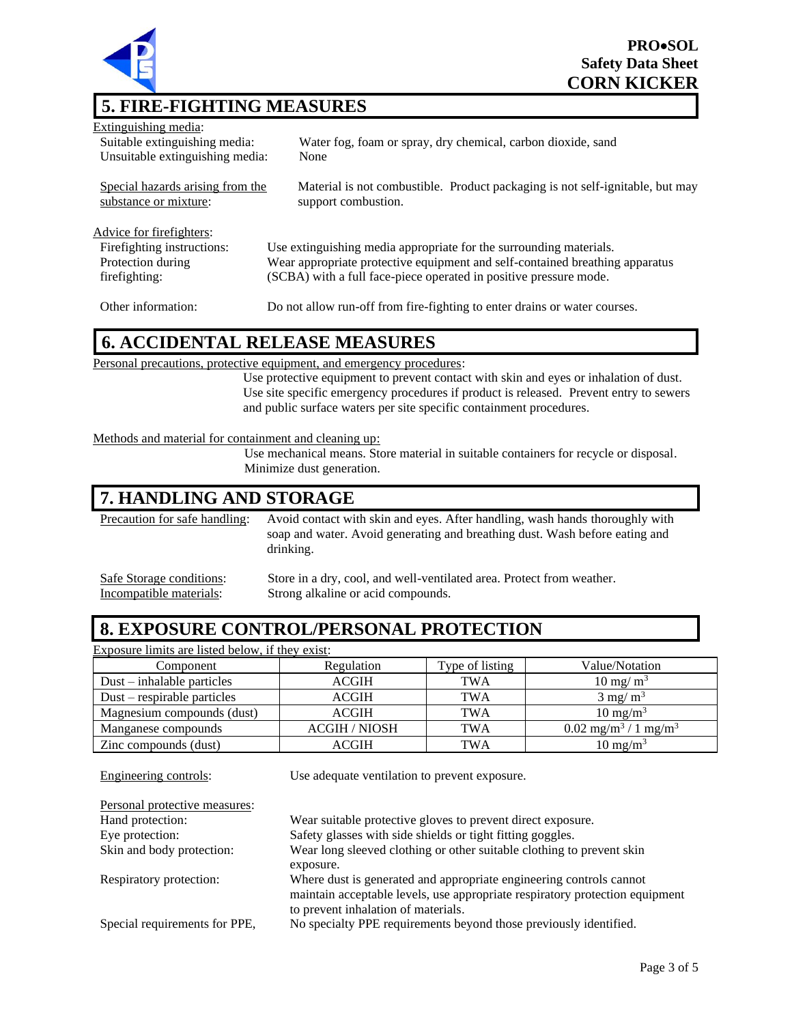

Extinguishing media: Suitable extinguishing media: Water fog, foam or spray, dry chemical, carbon dioxide, sand Unsuitable extinguishing media: None

Special hazards arising from the substance or mixture: Material is not combustible. Product packaging is not self-ignitable, but may support combustion.

Advice for firefighters:

Firefighting instructions: Use extinguishing media appropriate for the surrounding materials. Protection during Wear appropriate protective equipment and self-contained breathing apparatus (SCBA) with a full face-piece operated in positive pressure mode.

firefighting:

Other information: Do not allow run-off from fire-fighting to enter drains or water courses.

## **6. ACCIDENTAL RELEASE MEASURES**

Personal precautions, protective equipment, and emergency procedures:

Use protective equipment to prevent contact with skin and eyes or inhalation of dust. Use site specific emergency procedures if product is released. Prevent entry to sewers and public surface waters per site specific containment procedures.

#### Methods and material for containment and cleaning up:

Use mechanical means. Store material in suitable containers for recycle or disposal. Minimize dust generation.

#### **7. HANDLING AND STORAGE**

Precaution for safe handling: Avoid contact with skin and eyes. After handling, wash hands thoroughly with soap and water. Avoid generating and breathing dust. Wash before eating and drinking.

Incompatible materials: Strong alkaline or acid compounds.

Safe Storage conditions: Store in a dry, cool, and well-ventilated area. Protect from weather.

## **8. EXPOSURE CONTROL/PERSONAL PROTECTION**

| Exposure limits are listed below, if they exist: |                      |                 |                                          |
|--------------------------------------------------|----------------------|-----------------|------------------------------------------|
| Component                                        | Regulation           | Type of listing | Value/Notation                           |
| $Dust - inhalable particles$                     | <b>ACGIH</b>         | <b>TWA</b>      | $10 \text{ mg/m}^3$                      |
| $Dust$ – respirable particles                    | <b>ACGIH</b>         | TWA             | $3 \text{ mg/m}^3$                       |
| Magnesium compounds (dust)                       | <b>ACGIH</b>         | <b>TWA</b>      | $10 \text{ mg/m}^3$                      |
| Manganese compounds                              | <b>ACGIH / NIOSH</b> | <b>TWA</b>      | $0.02 \text{ mg/m}^3 / 1 \text{ mg/m}^3$ |
| Zinc compounds (dust)                            | ACGIH                | <b>TWA</b>      | $10 \text{ mg/m}^3$                      |

Engineering controls: Use adequate ventilation to prevent exposure. Personal protective measures: Hand protection: Wear suitable protective gloves to prevent direct exposure. Eye protection: Safety glasses with side shields or tight fitting goggles. Skin and body protection: Wear long sleeved clothing or other suitable clothing to prevent skin exposure. Respiratory protection: Where dust is generated and appropriate engineering controls cannot maintain acceptable levels, use appropriate respiratory protection equipment to prevent inhalation of materials. Special requirements for PPE, No specialty PPE requirements beyond those previously identified.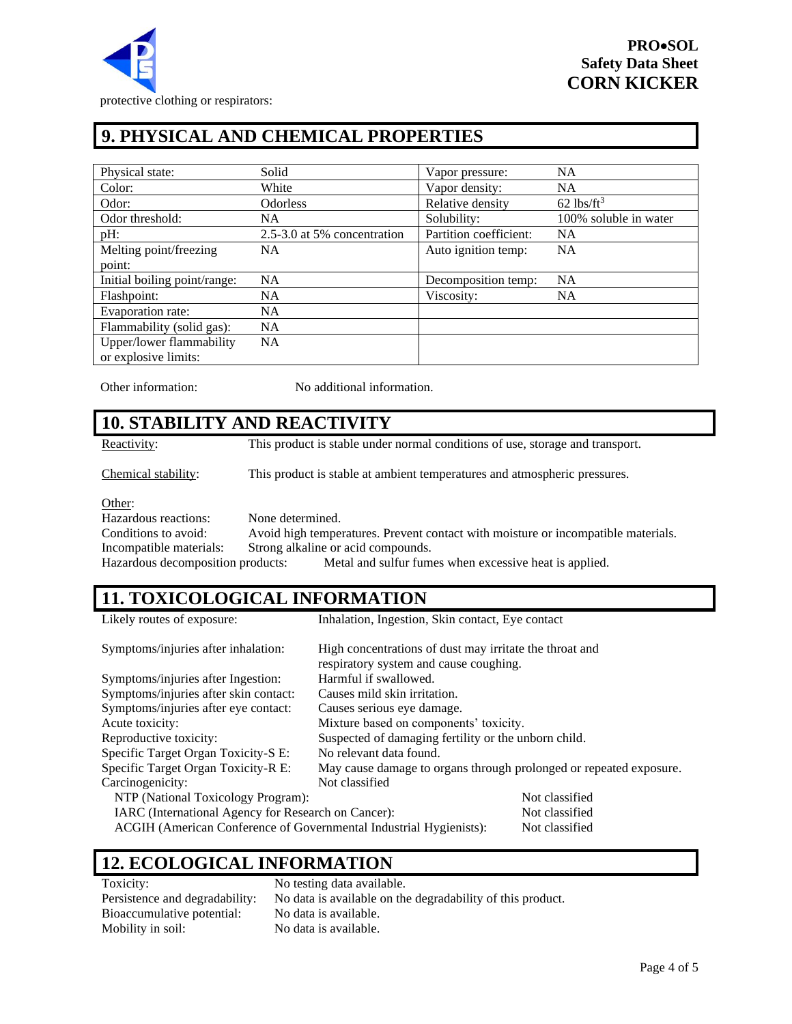

## **9. PHYSICAL AND CHEMICAL PROPERTIES**

| Physical state:              | Solid                       | Vapor pressure:        | <b>NA</b>                |
|------------------------------|-----------------------------|------------------------|--------------------------|
| Color:                       | White                       | Vapor density:         | <b>NA</b>                |
| Odor:                        | <b>Odorless</b>             | Relative density       | $62$ lbs/ft <sup>3</sup> |
| Odor threshold:              | NA.                         | Solubility:            | 100% soluble in water    |
| pH:                          | 2.5-3.0 at 5% concentration | Partition coefficient: | <b>NA</b>                |
| Melting point/freezing       | NA.                         | Auto ignition temp:    | <b>NA</b>                |
| point:                       |                             |                        |                          |
| Initial boiling point/range: | NA                          | Decomposition temp:    | <b>NA</b>                |
| Flashpoint:                  | <b>NA</b>                   | Viscosity:             | <b>NA</b>                |
| Evaporation rate:            | NA.                         |                        |                          |
| Flammability (solid gas):    | <b>NA</b>                   |                        |                          |
| Upper/lower flammability     | <b>NA</b>                   |                        |                          |
| or explosive limits:         |                             |                        |                          |

Other information: No additional information.

### **10. STABILITY AND REACTIVITY**

Reactivity: This product is stable under normal conditions of use, storage and transport.

Chemical stability: This product is stable at ambient temperatures and atmospheric pressures.

Other:

Hazardous reactions: None determined. Conditions to avoid: Avoid high temperatures. Prevent contact with moisture or incompatible materials. Incompatible materials: Strong alkaline or acid compounds. Hazardous decomposition products: Metal and sulfur fumes when excessive heat is applied.

### **11. TOXICOLOGICAL INFORMATION**

| Likely routes of exposure:                                         | Inhalation, Ingestion, Skin contact, Eye contact                                                  |                |
|--------------------------------------------------------------------|---------------------------------------------------------------------------------------------------|----------------|
| Symptoms/injuries after inhalation:                                | High concentrations of dust may irritate the throat and<br>respiratory system and cause coughing. |                |
| Symptoms/injuries after Ingestion:                                 | Harmful if swallowed.                                                                             |                |
| Symptoms/injuries after skin contact:                              | Causes mild skin irritation.                                                                      |                |
| Symptoms/injuries after eye contact:                               | Causes serious eye damage.                                                                        |                |
| Acute toxicity:                                                    | Mixture based on components' toxicity.                                                            |                |
| Reproductive toxicity:                                             | Suspected of damaging fertility or the unborn child.                                              |                |
| Specific Target Organ Toxicity-S E:                                | No relevant data found.                                                                           |                |
| Specific Target Organ Toxicity-R E:                                | May cause damage to organs through prolonged or repeated exposure.                                |                |
| Carcinogenicity:                                                   | Not classified                                                                                    |                |
| NTP (National Toxicology Program):                                 |                                                                                                   | Not classified |
| IARC (International Agency for Research on Cancer):                |                                                                                                   | Not classified |
| ACGIH (American Conference of Governmental Industrial Hygienists): |                                                                                                   | Not classified |

#### **12. ECOLOGICAL INFORMATION**

Toxicity: No testing data available. Bioaccumulative potential: No data is available. Mobility in soil: No data is available.

Persistence and degradability: No data is available on the degradability of this product.